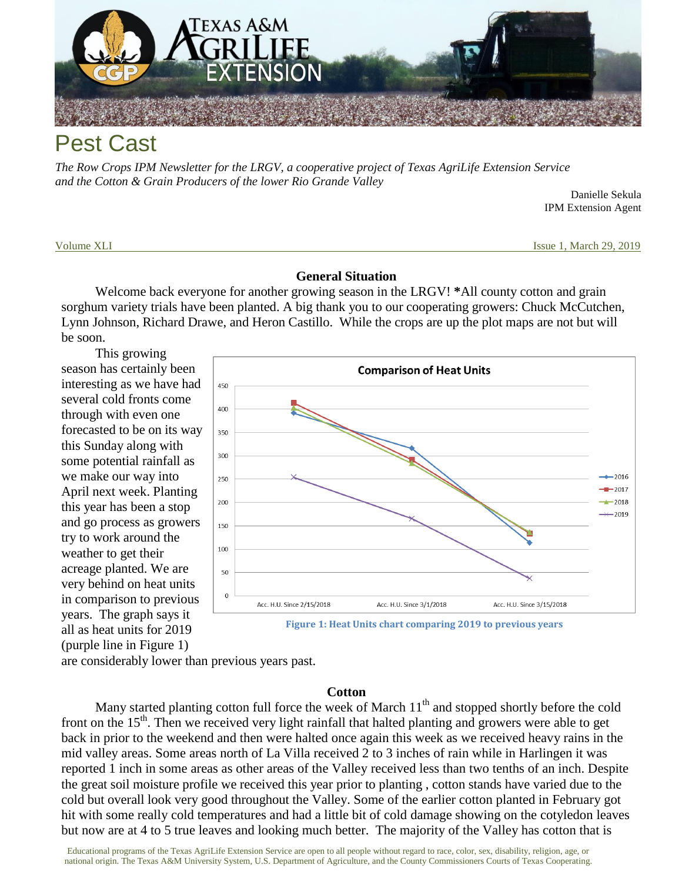

# Pest Cast

*The Row Crops IPM Newsletter for the LRGV, a cooperative project of Texas AgriLife Extension Service and the Cotton & Grain Producers of the lower Rio Grande Valley*

Danielle Sekula IPM Extension Agent

Volume XLI **Issue 1, March 29, 2019 Issue 1, March 29, 2019** 

#### **General Situation**

Welcome back everyone for another growing season in the LRGV! **\***All county cotton and grain sorghum variety trials have been planted. A big thank you to our cooperating growers: Chuck McCutchen, Lynn Johnson, Richard Drawe, and Heron Castillo. While the crops are up the plot maps are not but will be soon.

This growing season has certainly been interesting as we have had several cold fronts come through with even one forecasted to be on its way this Sunday along with some potential rainfall as we make our way into April next week. Planting this year has been a stop and go process as growers try to work around the weather to get their acreage planted. We are very behind on heat units in comparison to previous years. The graph says it all as heat units for 2019 (purple line in Figure 1)



are considerably lower than previous years past.

### **Cotton**

Many started planting cotton full force the week of March  $11<sup>th</sup>$  and stopped shortly before the cold front on the  $15<sup>th</sup>$ . Then we received very light rainfall that halted planting and growers were able to get back in prior to the weekend and then were halted once again this week as we received heavy rains in the mid valley areas. Some areas north of La Villa received 2 to 3 inches of rain while in Harlingen it was reported 1 inch in some areas as other areas of the Valley received less than two tenths of an inch. Despite the great soil moisture profile we received this year prior to planting , cotton stands have varied due to the cold but overall look very good throughout the Valley. Some of the earlier cotton planted in February got hit with some really cold temperatures and had a little bit of cold damage showing on the cotyledon leaves but now are at 4 to 5 true leaves and looking much better. The majority of the Valley has cotton that is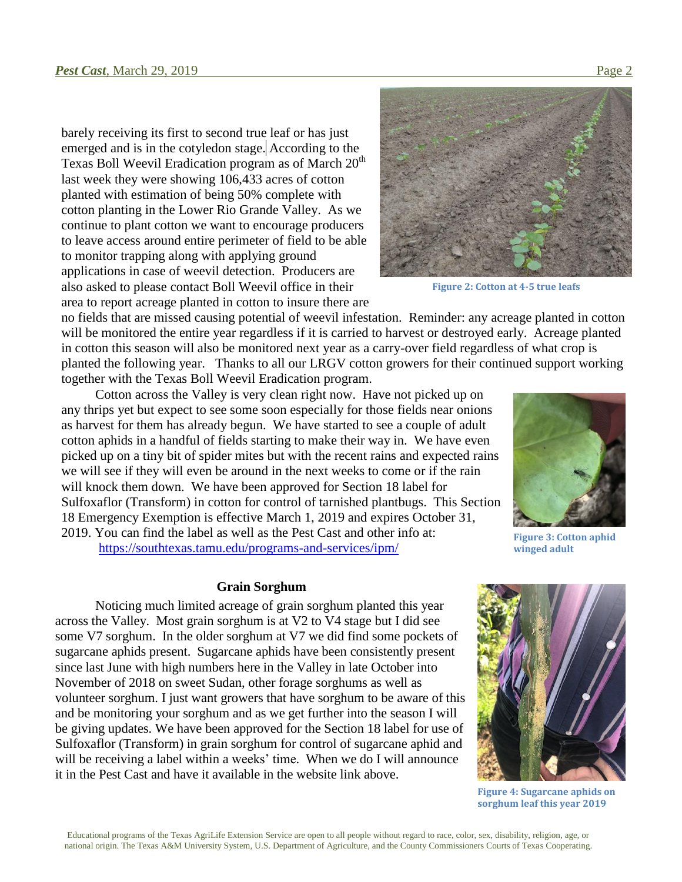barely receiving its first to second true leaf or has just emerged and is in the cotyledon stage. According to the Texas Boll Weevil Eradication program as of March  $20<sup>th</sup>$ last week they were showing 106,433 acres of cotton planted with estimation of being 50% complete with cotton planting in the Lower Rio Grande Valley. As we continue to plant cotton we want to encourage producers to leave access around entire perimeter of field to be able to monitor trapping along with applying ground applications in case of weevil detection. Producers are also asked to please contact Boll Weevil office in their area to report acreage planted in cotton to insure there are



**Figure 2: Cotton at 4-5 true leafs**

no fields that are missed causing potential of weevil infestation. Reminder: any acreage planted in cotton will be monitored the entire year regardless if it is carried to harvest or destroyed early. Acreage planted in cotton this season will also be monitored next year as a carry-over field regardless of what crop is planted the following year. Thanks to all our LRGV cotton growers for their continued support working together with the Texas Boll Weevil Eradication program.

Cotton across the Valley is very clean right now. Have not picked up on any thrips yet but expect to see some soon especially for those fields near onions as harvest for them has already begun. We have started to see a couple of adult cotton aphids in a handful of fields starting to make their way in. We have even picked up on a tiny bit of spider mites but with the recent rains and expected rains we will see if they will even be around in the next weeks to come or if the rain will knock them down. We have been approved for Section 18 label for Sulfoxaflor (Transform) in cotton for control of tarnished plantbugs. This Section 18 Emergency Exemption is effective March 1, 2019 and expires October 31, 2019. You can find the label as well as the Pest Cast and other info at: <https://southtexas.tamu.edu/programs-and-services/ipm/>

**Grain Sorghum**

Noticing much limited acreage of grain sorghum planted this year across the Valley. Most grain sorghum is at V2 to V4 stage but I did see some V7 sorghum. In the older sorghum at V7 we did find some pockets of sugarcane aphids present. Sugarcane aphids have been consistently present since last June with high numbers here in the Valley in late October into November of 2018 on sweet Sudan, other forage sorghums as well as volunteer sorghum. I just want growers that have sorghum to be aware of this and be monitoring your sorghum and as we get further into the season I will be giving updates. We have been approved for the Section 18 label for use of Sulfoxaflor (Transform) in grain sorghum for control of sugarcane aphid and will be receiving a label within a weeks' time. When we do I will announce it in the Pest Cast and have it available in the website link above.



**Figure 3: Cotton aphid winged adult**



**Figure 4: Sugarcane aphids on sorghum leaf this year 2019**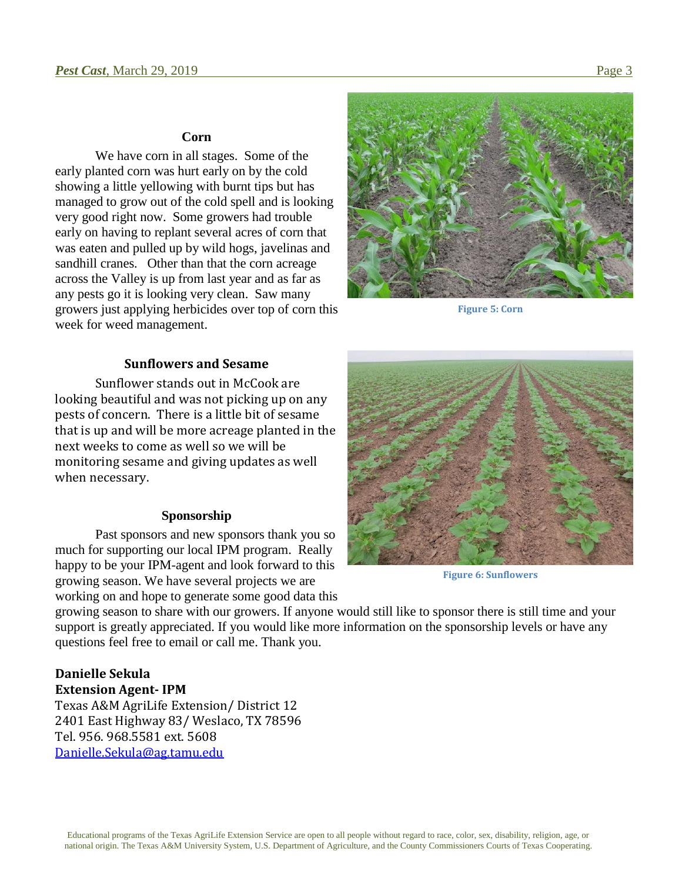#### **Corn**

We have corn in all stages. Some of the early planted corn was hurt early on by the cold showing a little yellowing with burnt tips but has managed to grow out of the cold spell and is looking very good right now. Some growers had trouble early on having to replant several acres of corn that was eaten and pulled up by wild hogs, javelinas and sandhill cranes. Other than that the corn acreage across the Valley is up from last year and as far as any pests go it is looking very clean. Saw many growers just applying herbicides over top of corn this week for weed management.



**Figure 5: Corn**

### **Sunflowers and Sesame**

Sunflower stands out in McCook are looking beautiful and was not picking up on any pests of concern. There is a little bit of sesame that is up and will be more acreage planted in the next weeks to come as well so we will be monitoring sesame and giving updates as well when necessary.

#### **Sponsorship**

Past sponsors and new sponsors thank you so much for supporting our local IPM program. Really happy to be your IPM-agent and look forward to this growing season. We have several projects we are working on and hope to generate some good data this



**Figure 6: Sunflowers**

growing season to share with our growers. If anyone would still like to sponsor there is still time and your support is greatly appreciated. If you would like more information on the sponsorship levels or have any questions feel free to email or call me. Thank you.

### **Danielle Sekula Extension Agent- IPM**

Texas A&M AgriLife Extension/ District 12 2401 East Highway 83/ Weslaco, TX 78596 Tel. 956. 968.5581 ext. 5608 [Danielle.Sekula@ag.tamu.edu](mailto:Danielle.Sekula@ag.tamu.edu)